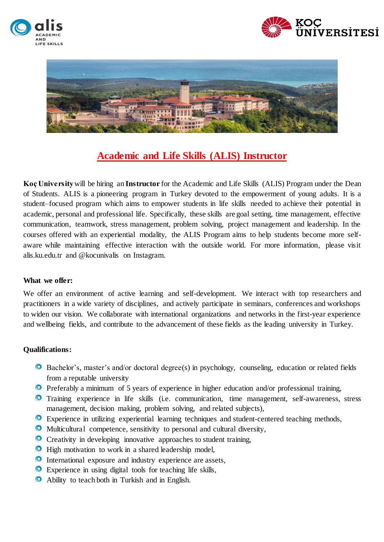





# **Academic and Life Skills (ALIS) Instructor**

**Koç University**will be hiring an **Instructor** for the Academic and Life Skills (ALIS) Program under the Dean of Students. ALIS is a pioneering program in Turkey devoted to the empowerment of young adults. It is a student–focused program which aims to empower students in life skills needed to achieve their potential in academic, personal and professional life. Specifically, these skills are goal setting, time management, effective communication, teamwork, stress management, problem solving, project management and leadership. In the courses offered with an experiential modality, the ALIS Program aims to help students become more selfaware while maintaining effective interaction with the outside world. For more information, please visit alis.ku.edu.tr and @kocunivalis on Instagram.

#### **What we offer:**

We offer an environment of active learning and self-development. We interact with top researchers and practitioners in a wide variety of disciplines, and actively participate in seminars, conferences and workshops to widen our vision. We collaborate with international organizations and networks in the first-year experience and wellbeing fields, and contribute to the advancement of these fields as the leading university in Turkey.

### **Qualifications:**

- Bachelor's, master's and/or doctoral degree(s) in psychology, counseling, education or related fields from a reputable university
- Preferably a minimum of 5 years of experience in higher education and/or professional training,
- Training experience in life skills (i.e. communication, time management, self-awareness, stress management, decision making, problem solving, and related subjects),
- Experience in utilizing experiential learning techniques and student-centered teaching methods,
- Multicultural competence, sensitivity to personal and cultural diversity,
- Creativity in developing innovative approaches to student training,
- $\bullet$  High motivation to work in a shared leadership model,
- International exposure and industry experience are assets,
- Experience in using digital tools for teaching life skills,
- Ability to teach both in Turkish and in English.